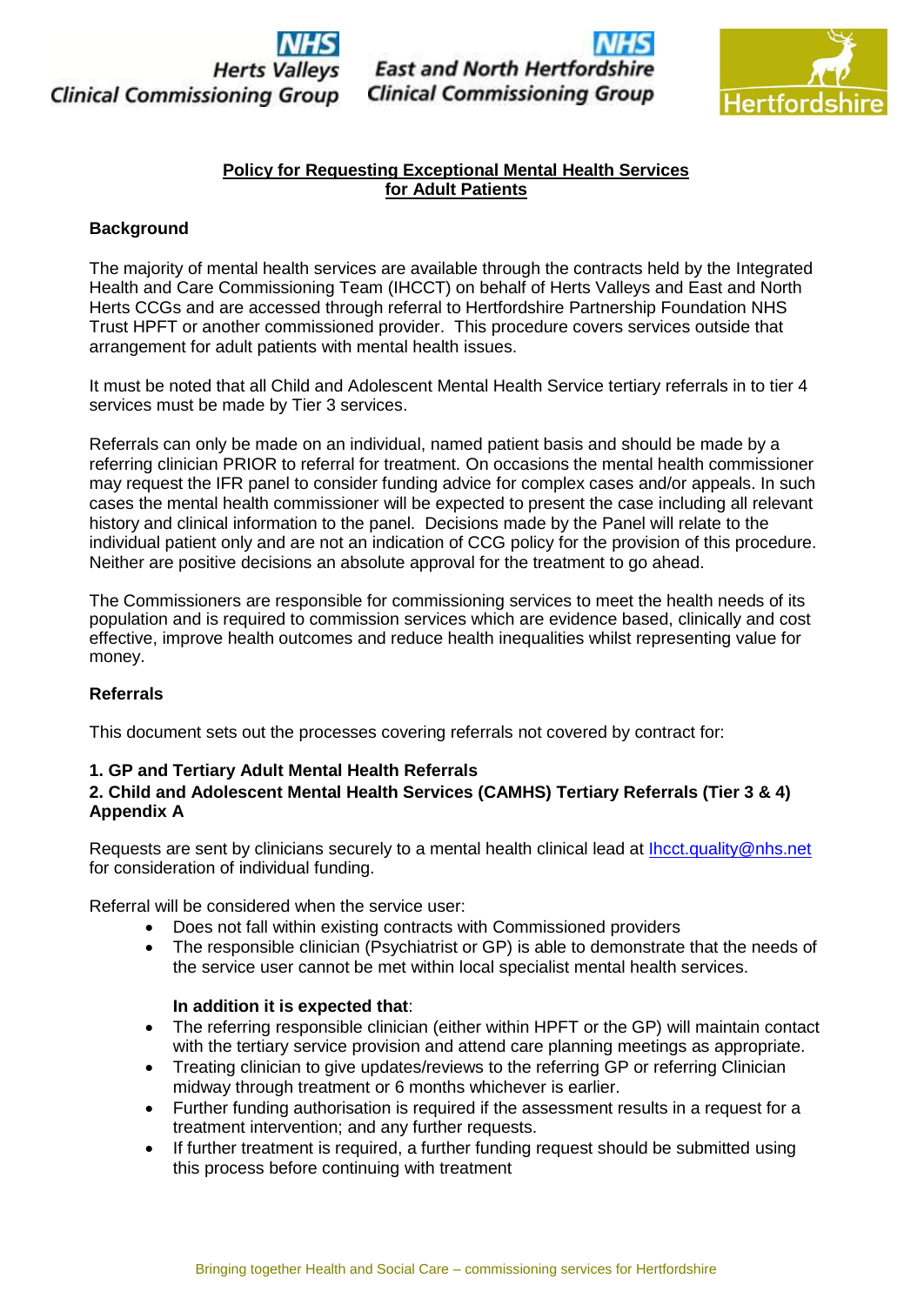

**East and North Hertford Clinical Commissioning Group** 



# **Policy for Requesting Exceptional Mental Health Services for Adult Patients**

## **Background**

The majority of mental health services are available through the contracts held by the Integrated Health and Care Commissioning Team (IHCCT) on behalf of Herts Valleys and East and North Herts CCGs and are accessed through referral to Hertfordshire Partnership Foundation NHS Trust HPFT or another commissioned provider. This procedure covers services outside that arrangement for adult patients with mental health issues.

It must be noted that all Child and Adolescent Mental Health Service tertiary referrals in to tier 4 services must be made by Tier 3 services.

Referrals can only be made on an individual, named patient basis and should be made by a referring clinician PRIOR to referral for treatment. On occasions the mental health commissioner may request the IFR panel to consider funding advice for complex cases and/or appeals. In such cases the mental health commissioner will be expected to present the case including all relevant history and clinical information to the panel. Decisions made by the Panel will relate to the individual patient only and are not an indication of CCG policy for the provision of this procedure. Neither are positive decisions an absolute approval for the treatment to go ahead.

The Commissioners are responsible for commissioning services to meet the health needs of its population and is required to commission services which are evidence based, clinically and cost effective, improve health outcomes and reduce health inequalities whilst representing value for money.

## **Referrals**

This document sets out the processes covering referrals not covered by contract for:

# **1. GP and Tertiary Adult Mental Health Referrals**

# **2. Child and Adolescent Mental Health Services (CAMHS) Tertiary Referrals (Tier 3 & 4) Appendix A**

Requests are sent by clinicians securely to a mental health clinical lead at **Ihcct.quality@nhs.net** for consideration of individual funding.

Referral will be considered when the service user:

- Does not fall within existing contracts with Commissioned providers
- The responsible clinician (Psychiatrist or GP) is able to demonstrate that the needs of the service user cannot be met within local specialist mental health services.

## **In addition it is expected that**:

- The referring responsible clinician (either within HPFT or the GP) will maintain contact with the tertiary service provision and attend care planning meetings as appropriate.
- Treating clinician to give updates/reviews to the referring GP or referring Clinician midway through treatment or 6 months whichever is earlier.
- Further funding authorisation is required if the assessment results in a request for a treatment intervention; and any further requests.
- If further treatment is required, a further funding request should be submitted using this process before continuing with treatment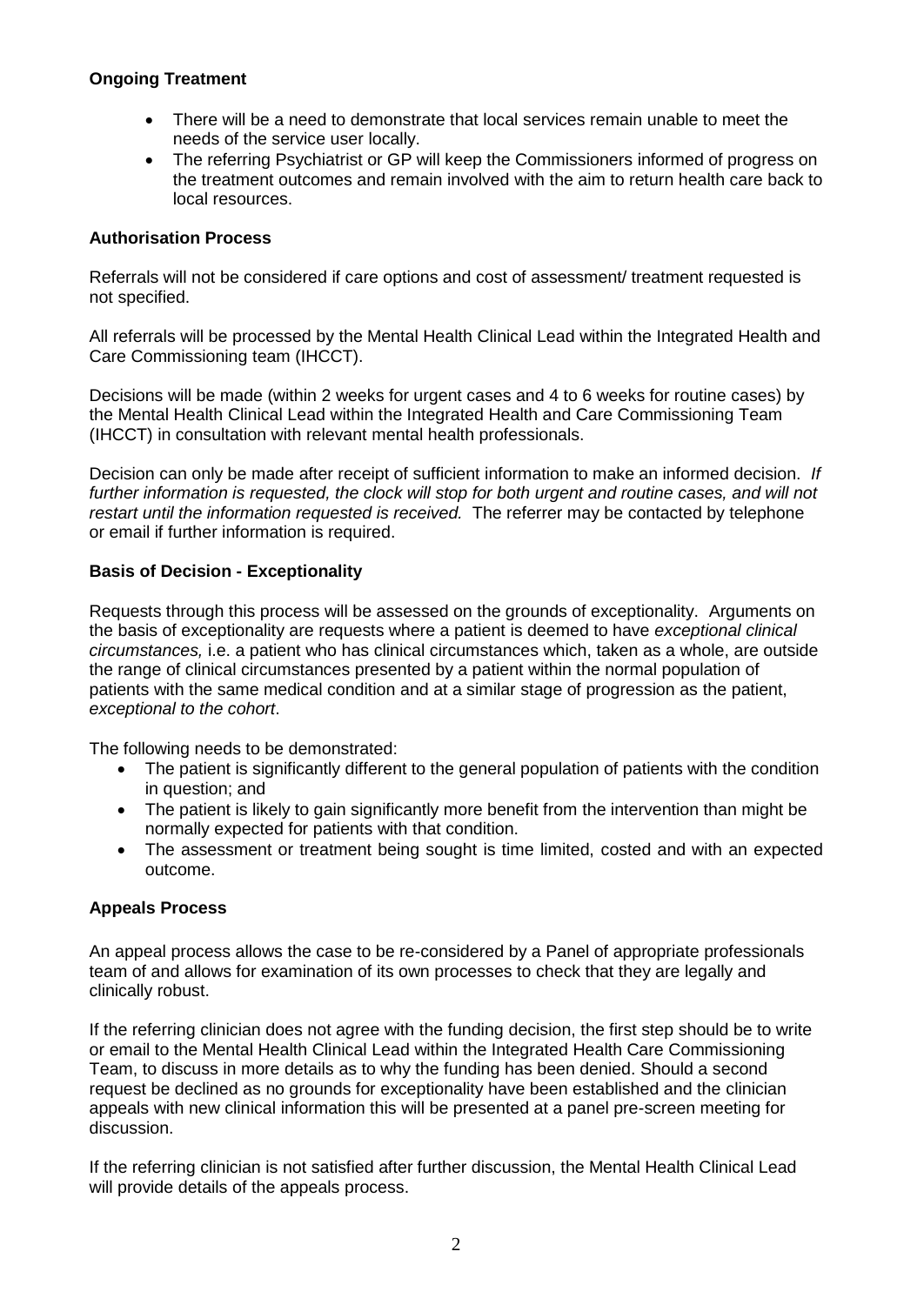# **Ongoing Treatment**

- There will be a need to demonstrate that local services remain unable to meet the needs of the service user locally.
- The referring Psychiatrist or GP will keep the Commissioners informed of progress on the treatment outcomes and remain involved with the aim to return health care back to local resources.

# **Authorisation Process**

Referrals will not be considered if care options and cost of assessment/ treatment requested is not specified.

All referrals will be processed by the Mental Health Clinical Lead within the Integrated Health and Care Commissioning team (IHCCT).

Decisions will be made (within 2 weeks for urgent cases and 4 to 6 weeks for routine cases) by the Mental Health Clinical Lead within the Integrated Health and Care Commissioning Team (IHCCT) in consultation with relevant mental health professionals.

Decision can only be made after receipt of sufficient information to make an informed decision. *If further information is requested, the clock will stop for both urgent and routine cases, and will not restart until the information requested is received.* The referrer may be contacted by telephone or email if further information is required.

# **Basis of Decision - Exceptionality**

Requests through this process will be assessed on the grounds of exceptionality. Arguments on the basis of exceptionality are requests where a patient is deemed to have *exceptional clinical circumstances,* i.e. a patient who has clinical circumstances which, taken as a whole, are outside the range of clinical circumstances presented by a patient within the normal population of patients with the same medical condition and at a similar stage of progression as the patient, *exceptional to the cohort*.

The following needs to be demonstrated:

- The patient is significantly different to the general population of patients with the condition in question; and
- The patient is likely to gain significantly more benefit from the intervention than might be normally expected for patients with that condition.
- The assessment or treatment being sought is time limited, costed and with an expected outcome.

## **Appeals Process**

An appeal process allows the case to be re-considered by a Panel of appropriate professionals team of and allows for examination of its own processes to check that they are legally and clinically robust.

If the referring clinician does not agree with the funding decision, the first step should be to write or email to the Mental Health Clinical Lead within the Integrated Health Care Commissioning Team, to discuss in more details as to why the funding has been denied. Should a second request be declined as no grounds for exceptionality have been established and the clinician appeals with new clinical information this will be presented at a panel pre-screen meeting for discussion.

If the referring clinician is not satisfied after further discussion, the Mental Health Clinical Lead will provide details of the appeals process.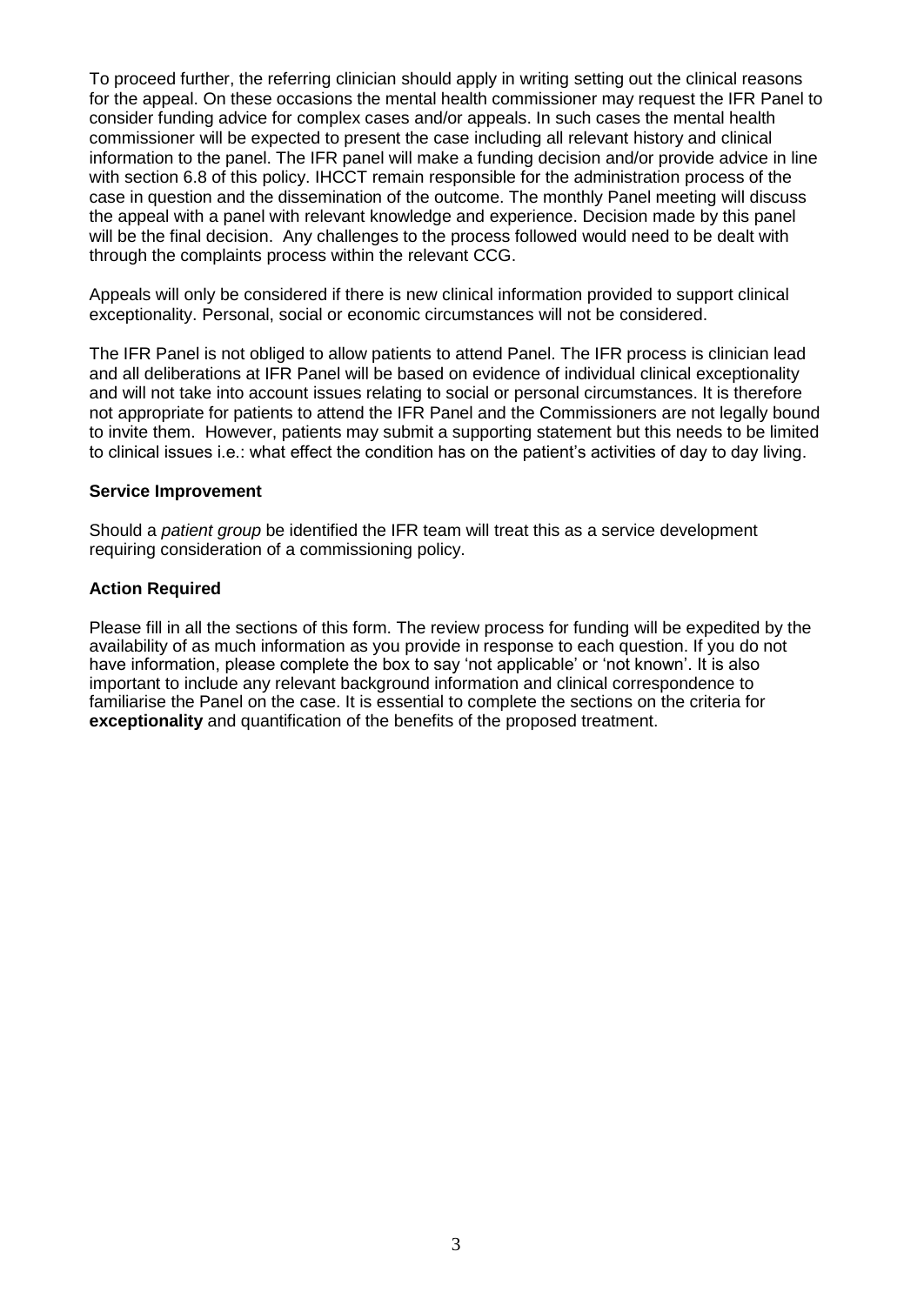To proceed further, the referring clinician should apply in writing setting out the clinical reasons for the appeal. On these occasions the mental health commissioner may request the IFR Panel to consider funding advice for complex cases and/or appeals. In such cases the mental health commissioner will be expected to present the case including all relevant history and clinical information to the panel. The IFR panel will make a funding decision and/or provide advice in line with section 6.8 of this policy. IHCCT remain responsible for the administration process of the case in question and the dissemination of the outcome. The monthly Panel meeting will discuss the appeal with a panel with relevant knowledge and experience. Decision made by this panel will be the final decision. Any challenges to the process followed would need to be dealt with through the complaints process within the relevant CCG.

Appeals will only be considered if there is new clinical information provided to support clinical exceptionality. Personal, social or economic circumstances will not be considered.

The IFR Panel is not obliged to allow patients to attend Panel. The IFR process is clinician lead and all deliberations at IFR Panel will be based on evidence of individual clinical exceptionality and will not take into account issues relating to social or personal circumstances. It is therefore not appropriate for patients to attend the IFR Panel and the Commissioners are not legally bound to invite them. However, patients may submit a supporting statement but this needs to be limited to clinical issues i.e.: what effect the condition has on the patient's activities of day to day living.

#### **Service Improvement**

Should a *patient group* be identified the IFR team will treat this as a service development requiring consideration of a commissioning policy.

## **Action Required**

Please fill in all the sections of this form. The review process for funding will be expedited by the availability of as much information as you provide in response to each question. If you do not have information, please complete the box to say 'not applicable' or 'not known'. It is also important to include any relevant background information and clinical correspondence to familiarise the Panel on the case. It is essential to complete the sections on the criteria for **exceptionality** and quantification of the benefits of the proposed treatment.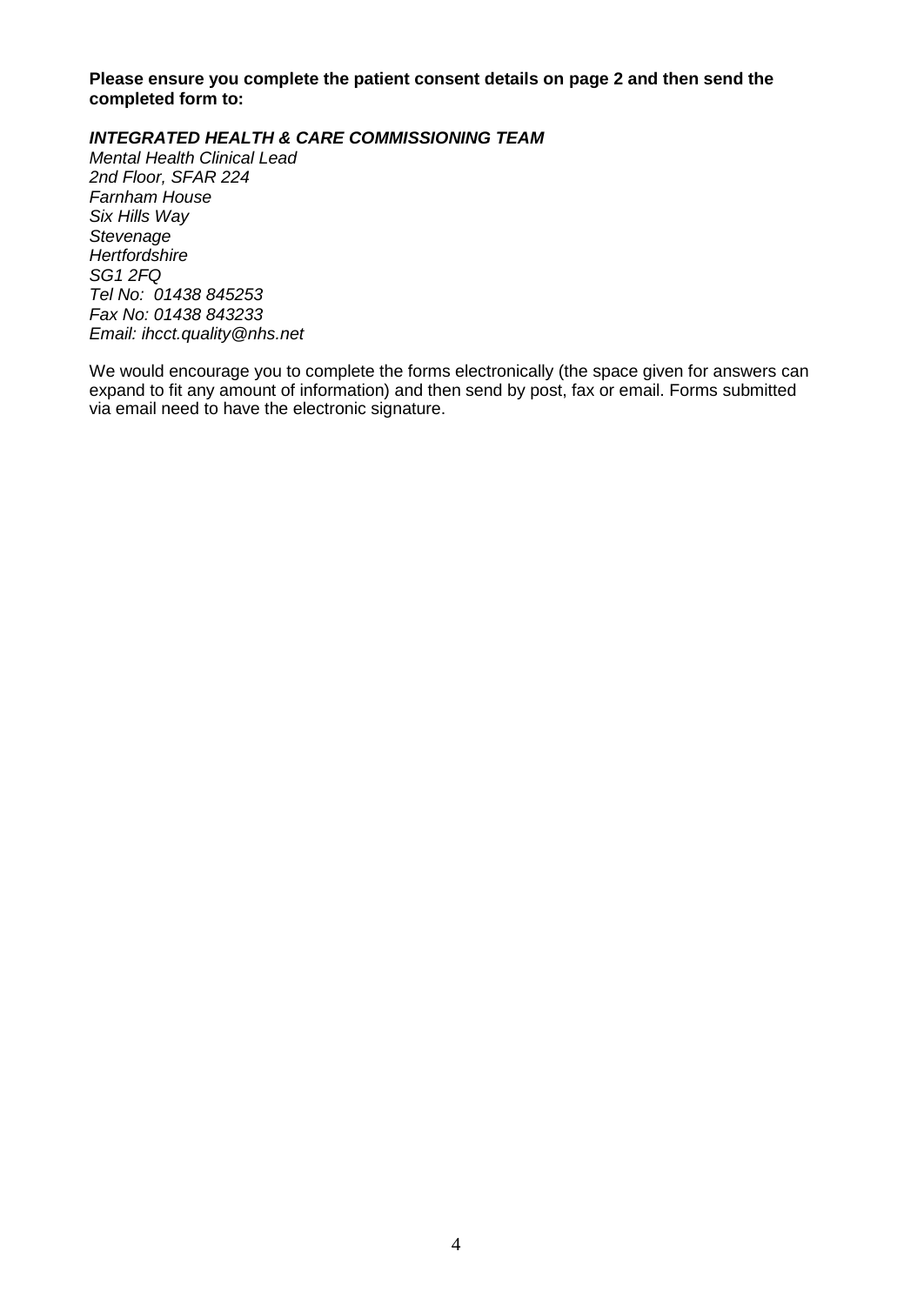**Please ensure you complete the patient consent details on page 2 and then send the completed form to:**

## *INTEGRATED HEALTH & CARE COMMISSIONING TEAM*

*Mental Health Clinical Lead 2nd Floor, SFAR 224 Farnham House Six Hills Way Stevenage Hertfordshire SG1 2FQ Tel No: 01438 845253 Fax No: 01438 843233 Email: [ihcct.quality@nhs.net](mailto:ihcct.quality@nhs.net)*

We would encourage you to complete the forms electronically (the space given for answers can expand to fit any amount of information) and then send by post, fax or email. Forms submitted via email need to have the electronic signature.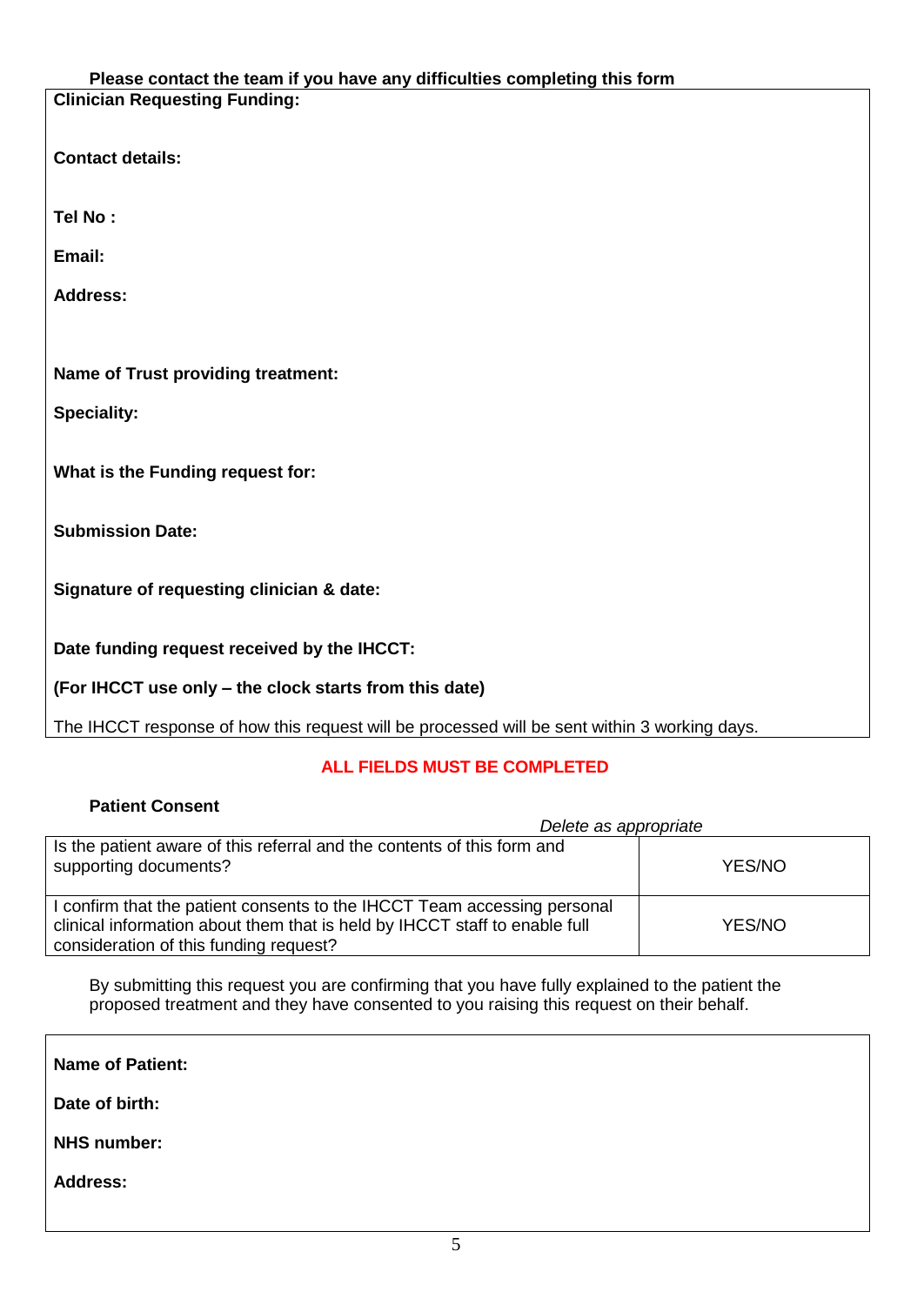#### **Please contact the team if you have any difficulties completing this form Clinician Requesting Funding:**

**Contact details:**

**Tel No :**

**Email:**

**Address:**

**Name of Trust providing treatment:** 

**Speciality:**

**What is the Funding request for:**

**Submission Date:**

**Signature of requesting clinician & date:**

**Date funding request received by the IHCCT:** 

**(For IHCCT use only – the clock starts from this date)**

The IHCCT response of how this request will be processed will be sent within 3 working days.

# **ALL FIELDS MUST BE COMPLETED**

| <b>Patient Consent</b>                                                                                                                                                                           |        |
|--------------------------------------------------------------------------------------------------------------------------------------------------------------------------------------------------|--------|
| Delete as appropriate                                                                                                                                                                            |        |
| Is the patient aware of this referral and the contents of this form and<br>supporting documents?                                                                                                 | YES/NO |
| I confirm that the patient consents to the IHCCT Team accessing personal<br>clinical information about them that is held by IHCCT staff to enable full<br>consideration of this funding request? | YES/NO |

By submitting this request you are confirming that you have fully explained to the patient the proposed treatment and they have consented to you raising this request on their behalf.

| <b>Name of Patient:</b> |  |
|-------------------------|--|
| Date of birth:          |  |
| <b>NHS number:</b>      |  |
| <b>Address:</b>         |  |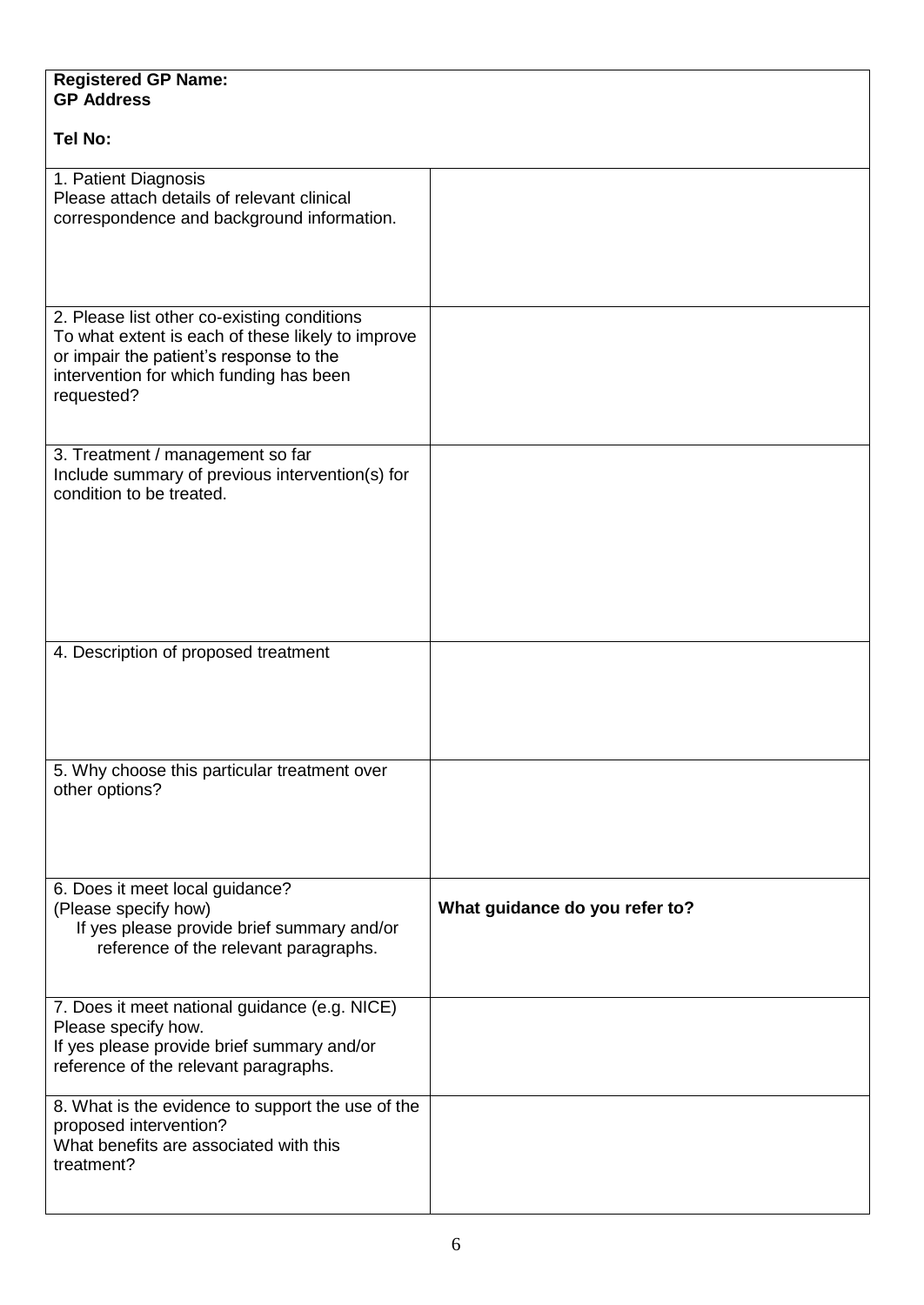| <b>Registered GP Name:</b><br><b>GP Address</b>                                                                                                                                                      |                                |
|------------------------------------------------------------------------------------------------------------------------------------------------------------------------------------------------------|--------------------------------|
| <b>Tel No:</b>                                                                                                                                                                                       |                                |
| 1. Patient Diagnosis<br>Please attach details of relevant clinical<br>correspondence and background information.                                                                                     |                                |
| 2. Please list other co-existing conditions<br>To what extent is each of these likely to improve<br>or impair the patient's response to the<br>intervention for which funding has been<br>requested? |                                |
| 3. Treatment / management so far<br>Include summary of previous intervention(s) for<br>condition to be treated.                                                                                      |                                |
| 4. Description of proposed treatment                                                                                                                                                                 |                                |
| 5. Why choose this particular treatment over<br>other options?                                                                                                                                       |                                |
| 6. Does it meet local guidance?<br>(Please specify how)<br>If yes please provide brief summary and/or<br>reference of the relevant paragraphs.                                                       | What guidance do you refer to? |
| 7. Does it meet national guidance (e.g. NICE)<br>Please specify how.<br>If yes please provide brief summary and/or<br>reference of the relevant paragraphs.                                          |                                |
| 8. What is the evidence to support the use of the<br>proposed intervention?<br>What benefits are associated with this<br>treatment?                                                                  |                                |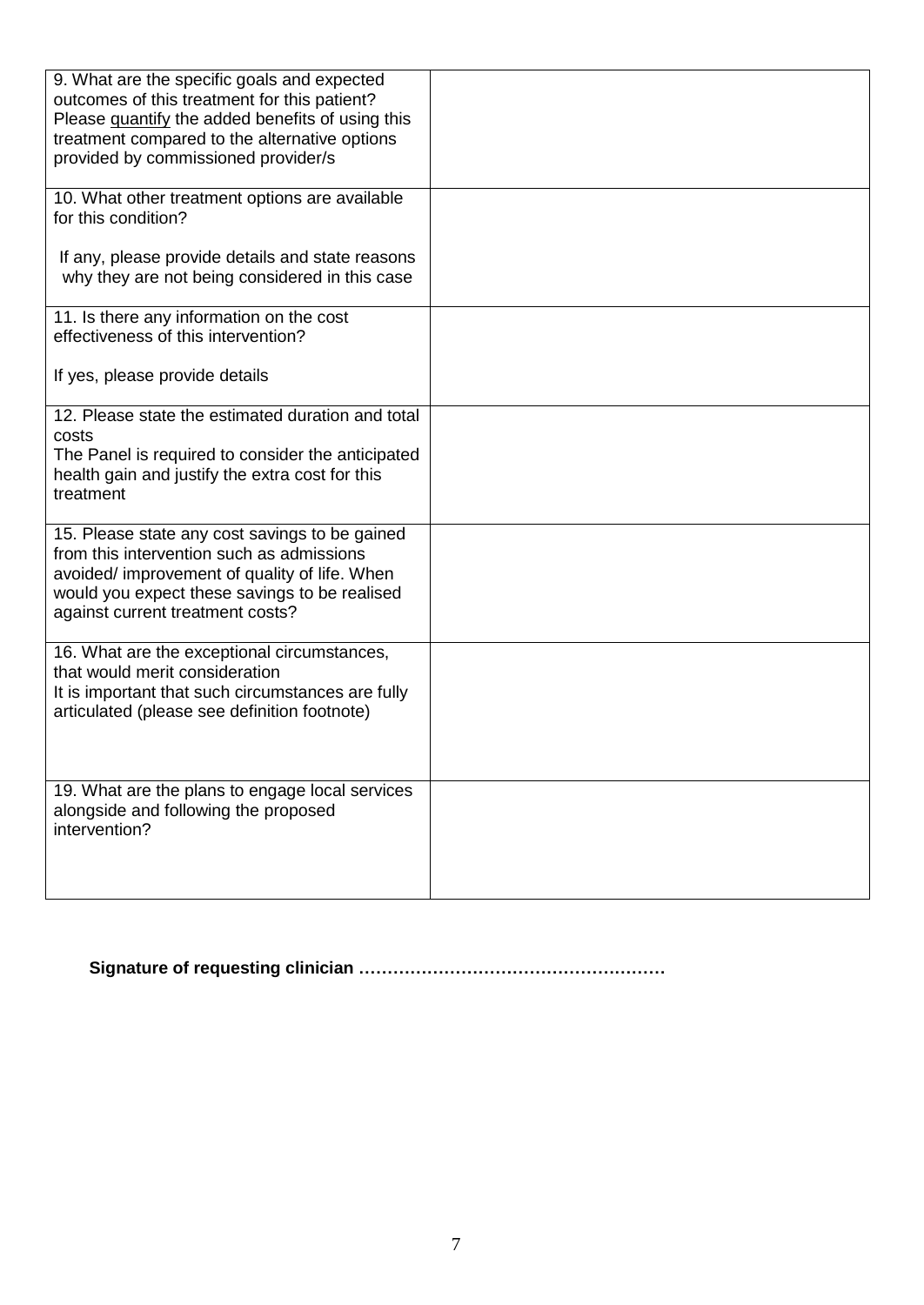| 9. What are the specific goals and expected<br>outcomes of this treatment for this patient?<br>Please quantify the added benefits of using this<br>treatment compared to the alternative options<br>provided by commissioned provider/s |  |
|-----------------------------------------------------------------------------------------------------------------------------------------------------------------------------------------------------------------------------------------|--|
| 10. What other treatment options are available<br>for this condition?                                                                                                                                                                   |  |
| If any, please provide details and state reasons<br>why they are not being considered in this case                                                                                                                                      |  |
| 11. Is there any information on the cost<br>effectiveness of this intervention?                                                                                                                                                         |  |
| If yes, please provide details                                                                                                                                                                                                          |  |
| 12. Please state the estimated duration and total<br>costs<br>The Panel is required to consider the anticipated<br>health gain and justify the extra cost for this<br>treatment                                                         |  |
| 15. Please state any cost savings to be gained<br>from this intervention such as admissions<br>avoided/ improvement of quality of life. When<br>would you expect these savings to be realised<br>against current treatment costs?       |  |
| 16. What are the exceptional circumstances,<br>that would merit consideration<br>It is important that such circumstances are fully<br>articulated (please see definition footnote)                                                      |  |
| 19. What are the plans to engage local services<br>alongside and following the proposed<br>intervention?                                                                                                                                |  |

**Signature of requesting clinician ………………………………………………**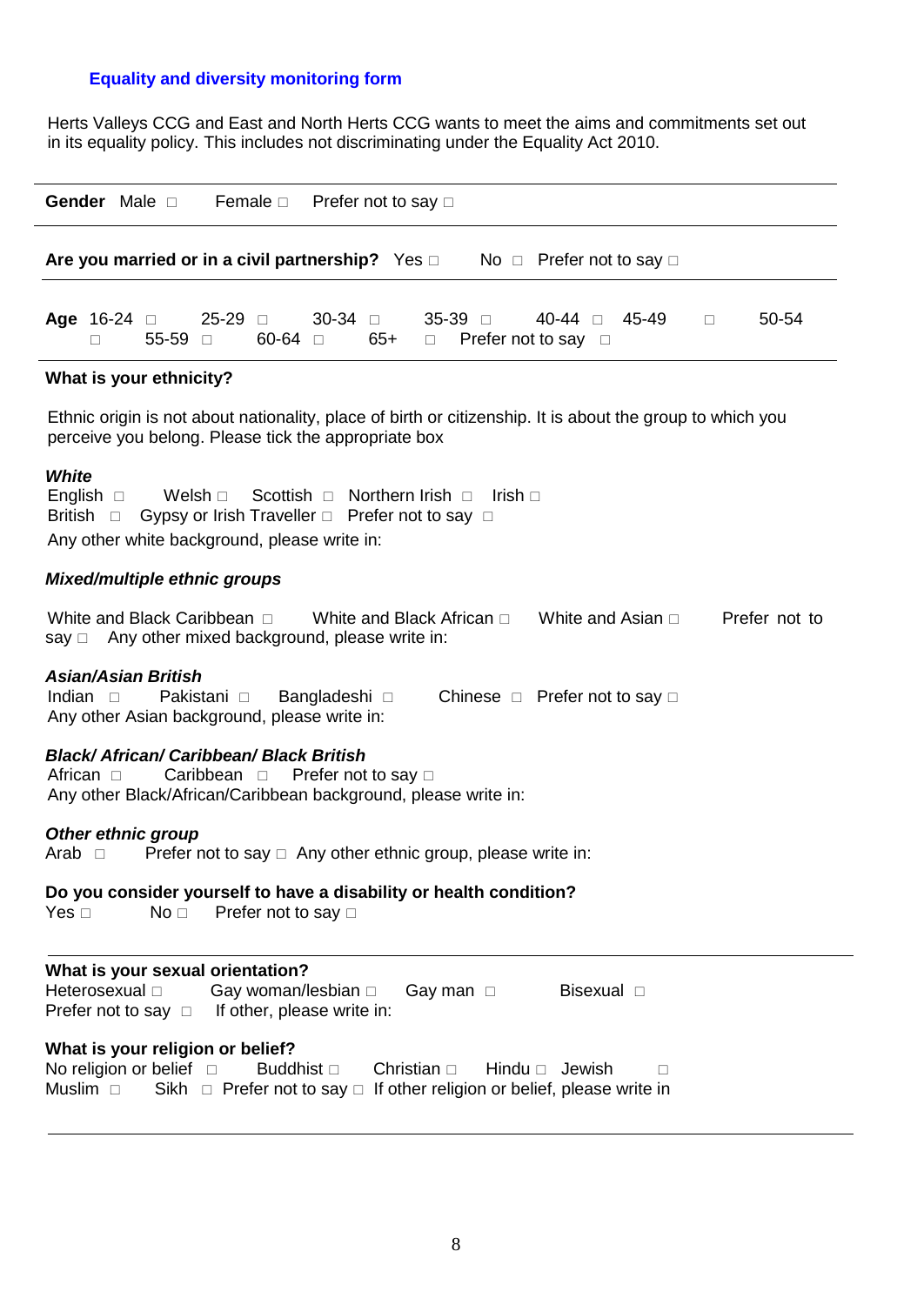## **Equality and diversity monitoring form**

Herts Valleys CCG and East and North Herts CCG wants to meet the aims and commitments set out in its equality policy. This includes not discriminating under the Equality Act 2010.

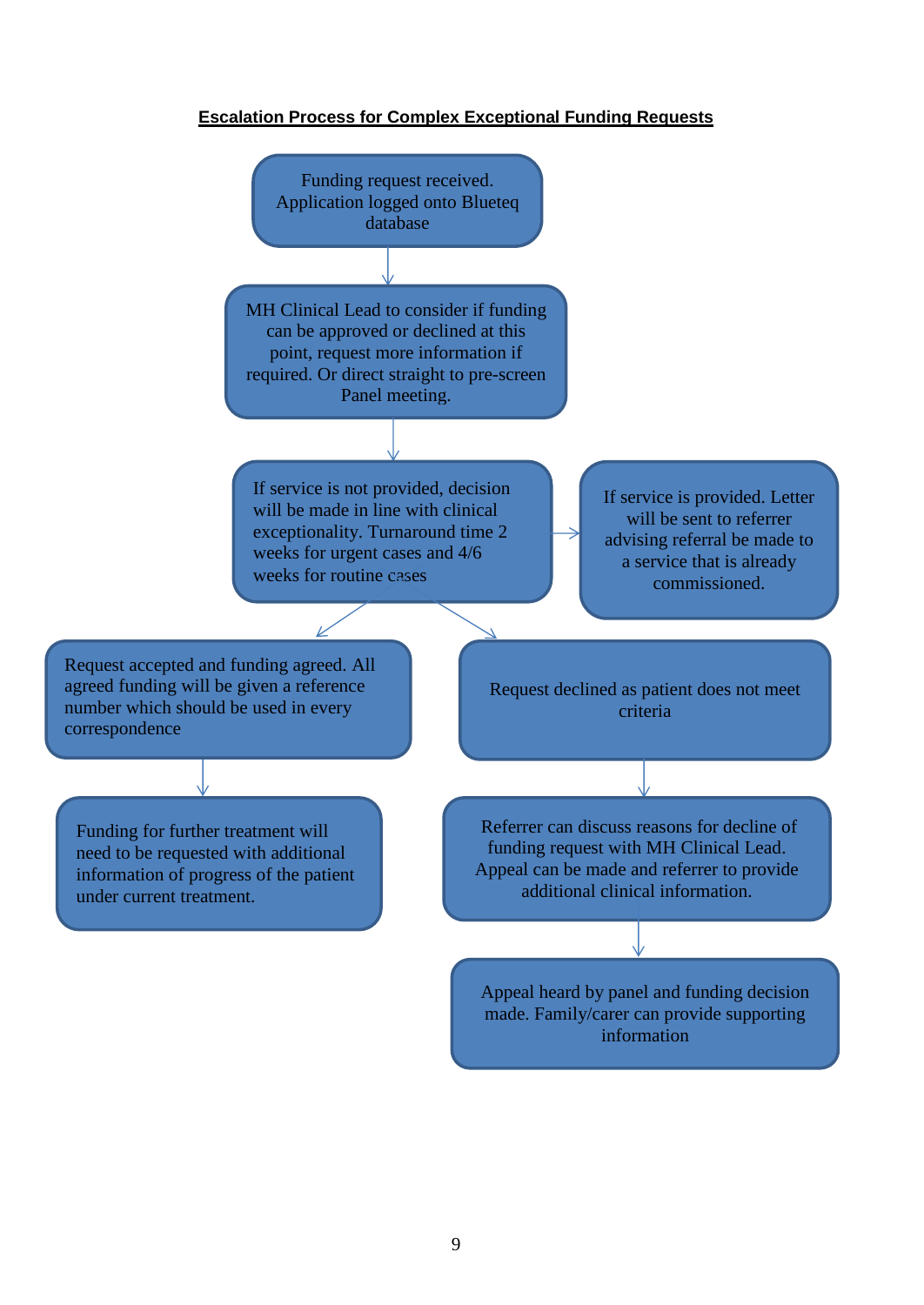# **Escalation Process for Complex Exceptional Funding Requests**